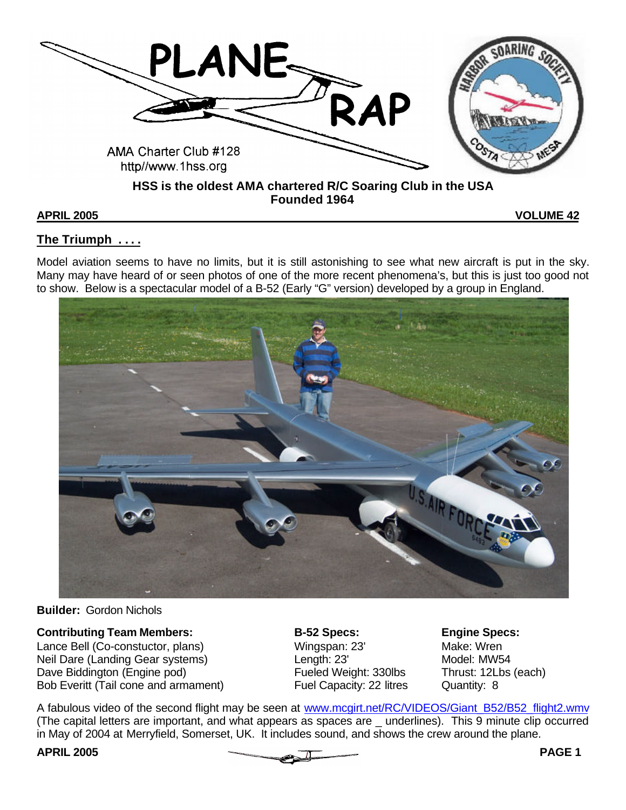

**APRIL 2005 VOLUME 42**

# **The Triumph . . . .**

Model aviation seems to have no limits, but it is still astonishing to see what new aircraft is put in the sky. Many may have heard of or seen photos of one of the more recent phenomena's, but this is just too good not to show. Below is a spectacular model of a B-52 (Early "G" version) developed by a group in England.



**Builder:** Gordon Nichols

Lance Bell (Co-constuctor, plans) Wingspan: 23' Make: Wren Neil Dare (Landing Gear systems)  $\qquad \qquad$  Length: 23' Model: MW54 Dave Biddington (Engine pod) Fueled Weight: 330lbs Thrust: 12Lbs (each) Bob Everitt (Tail cone and armament) Fuel Capacity: 22 litres Quantity: 8

**Contributing Team Members: B-52 Specs: Engine Specs:**<br>
Lance Bell (Co-constuctor, plans) **B-52 Specs:** Mingspan: 23' Make: Wren

A fabulous video of the second flight may be seen at www.mcgirt.net/RC/VIDEOS/Giant\_B52/B52\_flight2.wmv (The capital letters are important, and what appears as spaces are \_ underlines). This 9 minute clip occurred in May of 2004 at Merryfield, Somerset, UK. It includes sound, and shows the crew around the plane.

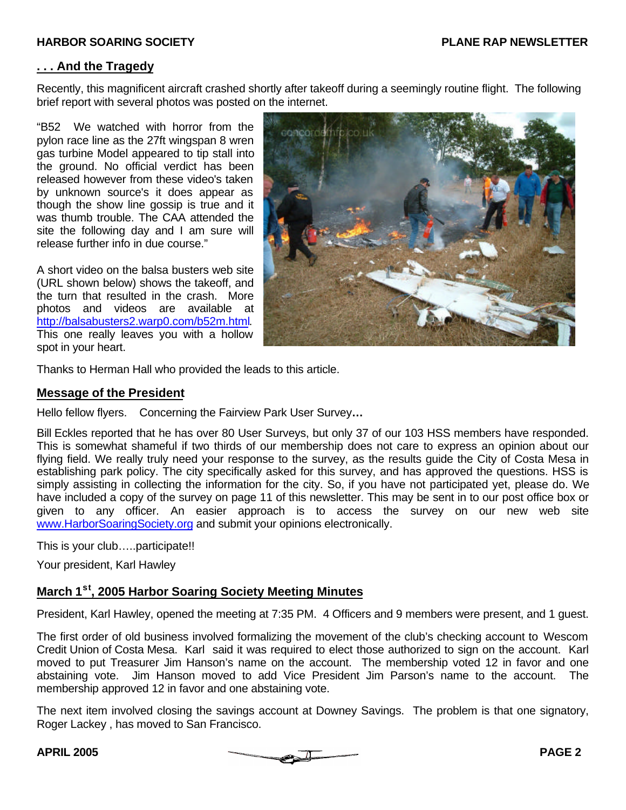### **. . . And the Tragedy**

Recently, this magnificent aircraft crashed shortly after takeoff during a seemingly routine flight. The following brief report with several photos was posted on the internet.

"B52 We watched with horror from the pylon race line as the 27ft wingspan 8 wren gas turbine Model appeared to tip stall into the ground. No official verdict has been released however from these video's taken by unknown source's it does appear as though the show line gossip is true and it was thumb trouble. The CAA attended the site the following day and I am sure will release further info in due course."

A short video on the balsa busters web site (URL shown below) shows the takeoff, and the turn that resulted in the crash. More photos and videos are available at http://balsabusters2.warp0.com/b52m.html. This one really leaves you with a hollow spot in your heart.



Thanks to Herman Hall who provided the leads to this article.

### **Message of the President**

Hello fellow flyers. Concerning the Fairview Park User Survey**…**

Bill Eckles reported that he has over 80 User Surveys, but only 37 of our 103 HSS members have responded. This is somewhat shameful if two thirds of our membership does not care to express an opinion about our flying field. We really truly need your response to the survey, as the results guide the City of Costa Mesa in establishing park policy. The city specifically asked for this survey, and has approved the questions. HSS is simply assisting in collecting the information for the city. So, if you have not participated yet, please do. We have included a copy of the survey on page 11 of this newsletter. This may be sent in to our post office box or given to any officer. An easier approach is to access the survey on our new web site www.HarborSoaringSociety.org and submit your opinions electronically.

This is your club…..participate!!

Your president, Karl Hawley

### **March 1st, 2005 Harbor Soaring Society Meeting Minutes**

President, Karl Hawley, opened the meeting at 7:35 PM. 4 Officers and 9 members were present, and 1 guest.

The first order of old business involved formalizing the movement of the club's checking account to Wescom Credit Union of Costa Mesa. Karl said it was required to elect those authorized to sign on the account. Karl moved to put Treasurer Jim Hanson's name on the account. The membership voted 12 in favor and one abstaining vote. Jim Hanson moved to add Vice President Jim Parson's name to the account. The membership approved 12 in favor and one abstaining vote.

The next item involved closing the savings account at Downey Savings. The problem is that one signatory, Roger Lackey , has moved to San Francisco.

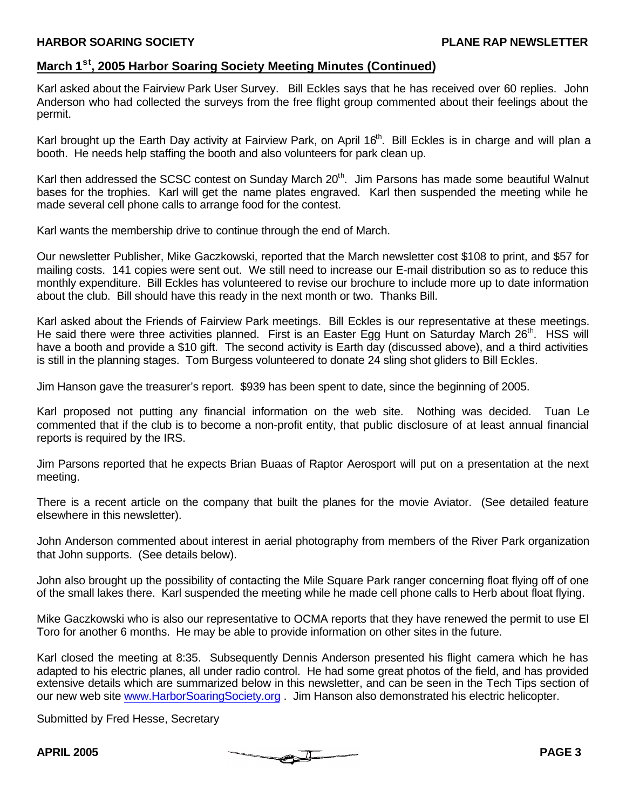# **March 1st, 2005 Harbor Soaring Society Meeting Minutes (Continued)**

Karl asked about the Fairview Park User Survey. Bill Eckles says that he has received over 60 replies. John Anderson who had collected the surveys from the free flight group commented about their feelings about the permit.

Karl brought up the Earth Day activity at Fairview Park, on April 16<sup>th</sup>. Bill Eckles is in charge and will plan a booth. He needs help staffing the booth and also volunteers for park clean up.

Karl then addressed the SCSC contest on Sunday March 20<sup>th</sup>. Jim Parsons has made some beautiful Walnut bases for the trophies. Karl will get the name plates engraved. Karl then suspended the meeting while he made several cell phone calls to arrange food for the contest.

Karl wants the membership drive to continue through the end of March.

Our newsletter Publisher, Mike Gaczkowski, reported that the March newsletter cost \$108 to print, and \$57 for mailing costs. 141 copies were sent out. We still need to increase our E-mail distribution so as to reduce this monthly expenditure. Bill Eckles has volunteered to revise our brochure to include more up to date information about the club. Bill should have this ready in the next month or two. Thanks Bill.

Karl asked about the Friends of Fairview Park meetings. Bill Eckles is our representative at these meetings. He said there were three activities planned. First is an Easter Egg Hunt on Saturday March 26<sup>th</sup>. HSS will have a booth and provide a \$10 gift. The second activity is Earth day (discussed above), and a third activities is still in the planning stages. Tom Burgess volunteered to donate 24 sling shot gliders to Bill Eckles.

Jim Hanson gave the treasurer's report. \$939 has been spent to date, since the beginning of 2005.

Karl proposed not putting any financial information on the web site. Nothing was decided. Tuan Le commented that if the club is to become a non-profit entity, that public disclosure of at least annual financial reports is required by the IRS.

Jim Parsons reported that he expects Brian Buaas of Raptor Aerosport will put on a presentation at the next meeting.

There is a recent article on the company that built the planes for the movie Aviator. (See detailed feature elsewhere in this newsletter).

John Anderson commented about interest in aerial photography from members of the River Park organization that John supports. (See details below).

John also brought up the possibility of contacting the Mile Square Park ranger concerning float flying off of one of the small lakes there. Karl suspended the meeting while he made cell phone calls to Herb about float flying.

Mike Gaczkowski who is also our representative to OCMA reports that they have renewed the permit to use El Toro for another 6 months. He may be able to provide information on other sites in the future.

Karl closed the meeting at 8:35. Subsequently Dennis Anderson presented his flight camera which he has adapted to his electric planes, all under radio control. He had some great photos of the field, and has provided extensive details which are summarized below in this newsletter, and can be seen in the Tech Tips section of our new web site www.HarborSoaringSociety.org . Jim Hanson also demonstrated his electric helicopter.

Submitted by Fred Hesse, Secretary

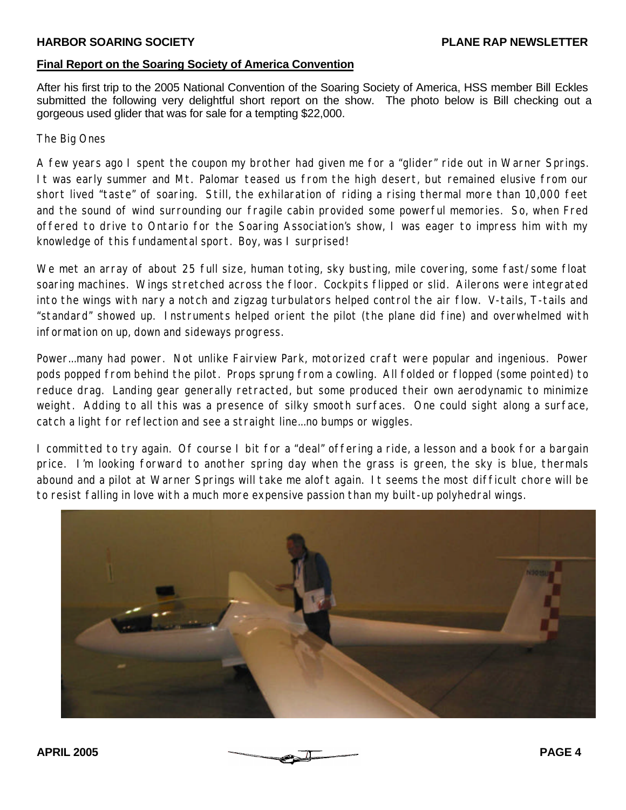## **Final Report on the Soaring Society of America Convention**

After his first trip to the 2005 National Convention of the Soaring Society of America, HSS member Bill Eckles submitted the following very delightful short report on the show. The photo below is Bill checking out a gorgeous used glider that was for sale for a tempting \$22,000.

The Big Ones

A few years ago I spent the coupon my brother had given me for a "glider" ride out in Warner Springs. It was early summer and Mt. Palomar teased us from the high desert, but remained elusive from our short lived "taste" of soaring. Still, the exhilaration of riding a rising thermal more than 10,000 feet and the sound of wind surrounding our fragile cabin provided some powerful memories. So, when Fred offered to drive to Ontario for the Soaring Association's show, I was eager to impress him with my knowledge of this fundamental sport. Boy, was I surprised!

We met an array of about 25 full size, human toting, sky busting, mile covering, some fast/some float soaring machines. Wings stretched across the floor. Cockpits flipped or slid. Ailerons were integrated into the wings with nary a notch and zigzag turbulators helped control the air flow. V-tails, T-tails and "standard" showed up. Instruments helped orient the pilot (the plane did fine) and overwhelmed with information on up, down and sideways progress.

Power...many had power. Not unlike Fairview Park, motorized craft were popular and ingenious. Power pods popped from behind the pilot. Props sprung from a cowling. All folded or flopped (some pointed) to reduce drag. Landing gear generally retracted, but some produced their own aerodynamic to minimize weight. Adding to all this was a presence of silky smooth surfaces. One could sight along a surface, catch a light for reflection and see a straight line...no bumps or wiggles.

I committed to try again. Of course I bit for a "deal" offering a ride, a lesson and a book for a bargain price. I'm looking forward to another spring day when the grass is green, the sky is blue, thermals abound and a pilot at Warner Springs will take me aloft again. It seems the most difficult chore will be to resist falling in love with a much more expensive passion than my built-up polyhedral wings.



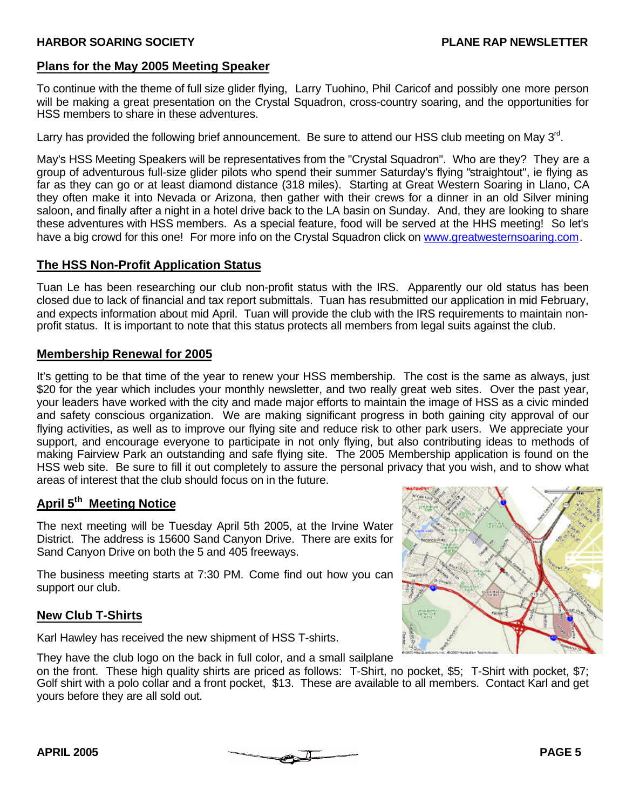# **Plans for the May 2005 Meeting Speaker**

To continue with the theme of full size glider flying, Larry Tuohino, Phil Caricof and possibly one more person will be making a great presentation on the Crystal Squadron, cross-country soaring, and the opportunities for HSS members to share in these adventures.

Larry has provided the following brief announcement. Be sure to attend our HSS club meeting on May  $3^{\text{rd}}$ .

May's HSS Meeting Speakers will be representatives from the "Crystal Squadron". Who are they? They are a group of adventurous full-size glider pilots who spend their summer Saturday's flying "straightout", ie flying as far as they can go or at least diamond distance (318 miles). Starting at Great Western Soaring in Llano, CA they often make it into Nevada or Arizona, then gather with their crews for a dinner in an old Silver mining saloon, and finally after a night in a hotel drive back to the LA basin on Sunday. And, they are looking to share these adventures with HSS members. As a special feature, food will be served at the HHS meeting! So let's have a big crowd for this one! For more info on the Crystal Squadron click on www.greatwesternsoaring.com.

# **The HSS Non-Profit Application Status**

Tuan Le has been researching our club non-profit status with the IRS. Apparently our old status has been closed due to lack of financial and tax report submittals. Tuan has resubmitted our application in mid February, and expects information about mid April. Tuan will provide the club with the IRS requirements to maintain nonprofit status. It is important to note that this status protects all members from legal suits against the club.

# **Membership Renewal for 2005**

It's getting to be that time of the year to renew your HSS membership. The cost is the same as always, just \$20 for the year which includes your monthly newsletter, and two really great web sites. Over the past year, your leaders have worked with the city and made major efforts to maintain the image of HSS as a civic minded and safety conscious organization. We are making significant progress in both gaining city approval of our flying activities, as well as to improve our flying site and reduce risk to other park users. We appreciate your support, and encourage everyone to participate in not only flying, but also contributing ideas to methods of making Fairview Park an outstanding and safe flying site. The 2005 Membership application is found on the HSS web site. Be sure to fill it out completely to assure the personal privacy that you wish, and to show what areas of interest that the club should focus on in the future.

# **April 5 th Meeting Notice**

The next meeting will be Tuesday April 5th 2005, at the Irvine Water District. The address is 15600 Sand Canyon Drive. There are exits for Sand Canyon Drive on both the 5 and 405 freeways.

The business meeting starts at 7:30 PM. Come find out how you can support our club.

# **New Club T-Shirts**

Karl Hawley has received the new shipment of HSS T-shirts.





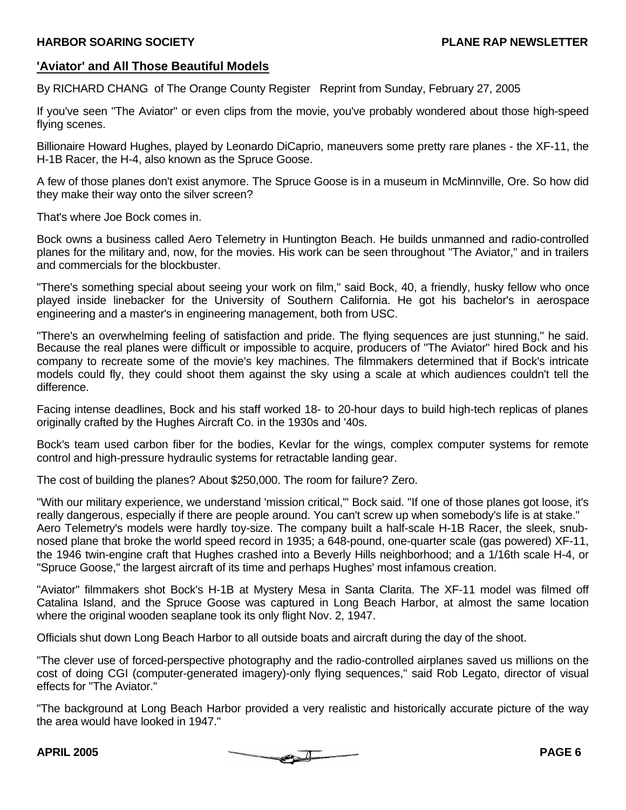# **'Aviator' and All Those Beautiful Models**

By RICHARD CHANG of The Orange County Register Reprint from Sunday, February 27, 2005

If you've seen "The Aviator" or even clips from the movie, you've probably wondered about those high-speed flying scenes.

Billionaire Howard Hughes, played by Leonardo DiCaprio, maneuvers some pretty rare planes - the XF-11, the H-1B Racer, the H-4, also known as the Spruce Goose.

A few of those planes don't exist anymore. The Spruce Goose is in a museum in McMinnville, Ore. So how did they make their way onto the silver screen?

That's where Joe Bock comes in.

Bock owns a business called Aero Telemetry in Huntington Beach. He builds unmanned and radio-controlled planes for the military and, now, for the movies. His work can be seen throughout "The Aviator," and in trailers and commercials for the blockbuster.

"There's something special about seeing your work on film," said Bock, 40, a friendly, husky fellow who once played inside linebacker for the University of Southern California. He got his bachelor's in aerospace engineering and a master's in engineering management, both from USC.

"There's an overwhelming feeling of satisfaction and pride. The flying sequences are just stunning," he said. Because the real planes were difficult or impossible to acquire, producers of "The Aviator" hired Bock and his company to recreate some of the movie's key machines. The filmmakers determined that if Bock's intricate models could fly, they could shoot them against the sky using a scale at which audiences couldn't tell the difference.

Facing intense deadlines, Bock and his staff worked 18- to 20-hour days to build high-tech replicas of planes originally crafted by the Hughes Aircraft Co. in the 1930s and '40s.

Bock's team used carbon fiber for the bodies, Kevlar for the wings, complex computer systems for remote control and high-pressure hydraulic systems for retractable landing gear.

The cost of building the planes? About \$250,000. The room for failure? Zero.

"With our military experience, we understand 'mission critical,'" Bock said. "If one of those planes got loose, it's really dangerous, especially if there are people around. You can't screw up when somebody's life is at stake." Aero Telemetry's models were hardly toy-size. The company built a half-scale H-1B Racer, the sleek, snubnosed plane that broke the world speed record in 1935; a 648-pound, one-quarter scale (gas powered) XF-11, the 1946 twin-engine craft that Hughes crashed into a Beverly Hills neighborhood; and a 1/16th scale H-4, or "Spruce Goose," the largest aircraft of its time and perhaps Hughes' most infamous creation.

"Aviator" filmmakers shot Bock's H-1B at Mystery Mesa in Santa Clarita. The XF-11 model was filmed off Catalina Island, and the Spruce Goose was captured in Long Beach Harbor, at almost the same location where the original wooden seaplane took its only flight Nov. 2, 1947.

Officials shut down Long Beach Harbor to all outside boats and aircraft during the day of the shoot.

"The clever use of forced-perspective photography and the radio-controlled airplanes saved us millions on the cost of doing CGI (computer-generated imagery)-only flying sequences," said Rob Legato, director of visual effects for "The Aviator."

"The background at Long Beach Harbor provided a very realistic and historically accurate picture of the way the area would have looked in 1947."

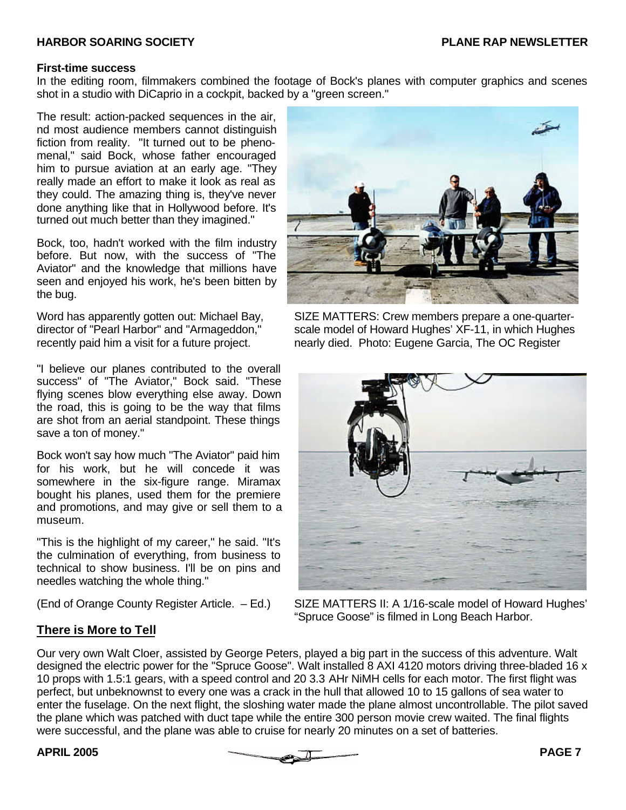### **First-time success**

In the editing room, filmmakers combined the footage of Bock's planes with computer graphics and scenes shot in a studio with DiCaprio in a cockpit, backed by a "green screen."

The result: action-packed sequences in the air, nd most audience members cannot distinguish fiction from reality. "It turned out to be phenomenal," said Bock, whose father encouraged him to pursue aviation at an early age. "They really made an effort to make it look as real as they could. The amazing thing is, they've never done anything like that in Hollywood before. It's turned out much better than they imagined."

Bock, too, hadn't worked with the film industry before. But now, with the success of "The Aviator" and the knowledge that millions have seen and enjoyed his work, he's been bitten by the bug.

"I believe our planes contributed to the overall success" of "The Aviator," Bock said. "These flying scenes blow everything else away. Down the road, this is going to be the way that films are shot from an aerial standpoint. These things save a ton of money."

Bock won't say how much "The Aviator" paid him for his work, but he will concede it was somewhere in the six-figure range. Miramax bought his planes, used them for the premiere and promotions, and may give or sell them to a museum.

"This is the highlight of my career," he said. "It's the culmination of everything, from business to technical to show business. I'll be on pins and needles watching the whole thing."



Word has apparently gotten out: Michael Bay, SIZE MATTERS: Crew members prepare a one-quarterdirector of "Pearl Harbor" and "Armageddon," scale model of Howard Hughes' XF-11, in which Hughes recently paid him a visit for a future project. The protorial proto: Eugene Garcia, The OC Register



(End of Orange County Register Article. – Ed.) SIZE MATTERS II: A 1/16-scale model of Howard Hughes' "Spruce Goose" is filmed in Long Beach Harbor.

# **There is More to Tell**

Our very own Walt Cloer, assisted by George Peters, played a big part in the success of this adventure. Walt designed the electric power for the "Spruce Goose". Walt installed 8 AXI 4120 motors driving three-bladed 16 x 10 props with 1.5:1 gears, with a speed control and 20 3.3 AHr NiMH cells for each motor. The first flight was perfect, but unbeknownst to every one was a crack in the hull that allowed 10 to 15 gallons of sea water to enter the fuselage. On the next flight, the sloshing water made the plane almost uncontrollable. The pilot saved the plane which was patched with duct tape while the entire 300 person movie crew waited. The final flights were successful, and the plane was able to cruise for nearly 20 minutes on a set of batteries.

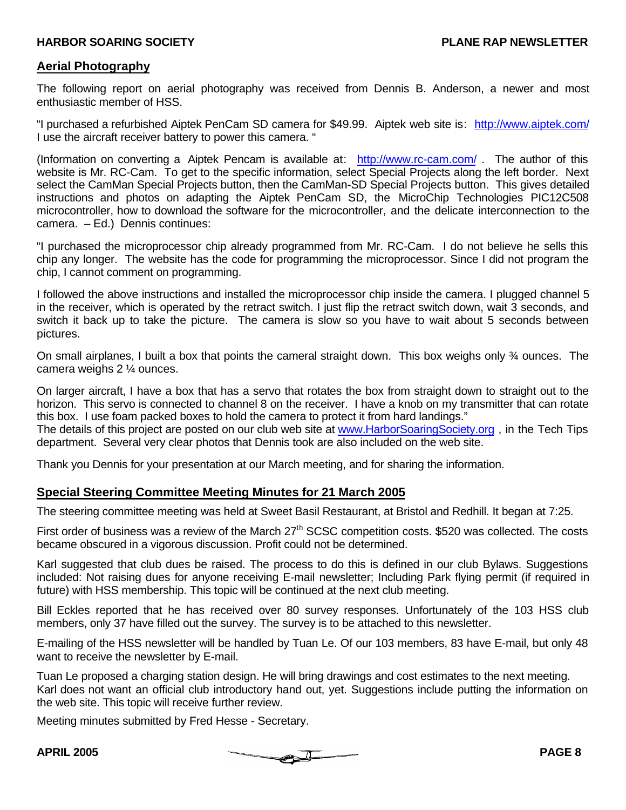### **Aerial Photography**

The following report on aerial photography was received from Dennis B. Anderson, a newer and most enthusiastic member of HSS.

"I purchased a refurbished Aiptek PenCam SD camera for \$49.99. Aiptek web site is: http://www.aiptek.com/ I use the aircraft receiver battery to power this camera. "

(Information on converting a Aiptek Pencam is available at: http://www.rc-cam.com/ . The author of this website is Mr. RC-Cam. To get to the specific information, select Special Projects along the left border. Next select the CamMan Special Projects button, then the CamMan-SD Special Projects button. This gives detailed instructions and photos on adapting the Aiptek PenCam SD, the MicroChip Technologies PIC12C508 microcontroller, how to download the software for the microcontroller, and the delicate interconnection to the camera. – Ed.) Dennis continues:

"I purchased the microprocessor chip already programmed from Mr. RC-Cam. I do not believe he sells this chip any longer. The website has the code for programming the microprocessor. Since I did not program the chip, I cannot comment on programming.

I followed the above instructions and installed the microprocessor chip inside the camera. I plugged channel 5 in the receiver, which is operated by the retract switch. I just flip the retract switch down, wait 3 seconds, and switch it back up to take the picture. The camera is slow so you have to wait about 5 seconds between pictures.

On small airplanes, I built a box that points the cameral straight down. This box weighs only ¾ ounces. The camera weighs 2 ¼ ounces.

On larger aircraft, I have a box that has a servo that rotates the box from straight down to straight out to the horizon. This servo is connected to channel 8 on the receiver. I have a knob on my transmitter that can rotate this box. I use foam packed boxes to hold the camera to protect it from hard landings."

The details of this project are posted on our club web site at www.HarborSoaringSociety.org , in the Tech Tips department. Several very clear photos that Dennis took are also included on the web site.

Thank you Dennis for your presentation at our March meeting, and for sharing the information.

### **Special Steering Committee Meeting Minutes for 21 March 2005**

The steering committee meeting was held at Sweet Basil Restaurant, at Bristol and Redhill. It began at 7:25.

First order of business was a review of the March 27<sup>th</sup> SCSC competition costs. \$520 was collected. The costs became obscured in a vigorous discussion. Profit could not be determined.

Karl suggested that club dues be raised. The process to do this is defined in our club Bylaws. Suggestions included: Not raising dues for anyone receiving E-mail newsletter; Including Park flying permit (if required in future) with HSS membership. This topic will be continued at the next club meeting.

Bill Eckles reported that he has received over 80 survey responses. Unfortunately of the 103 HSS club members, only 37 have filled out the survey. The survey is to be attached to this newsletter.

E-mailing of the HSS newsletter will be handled by Tuan Le. Of our 103 members, 83 have E-mail, but only 48 want to receive the newsletter by E-mail.

Tuan Le proposed a charging station design. He will bring drawings and cost estimates to the next meeting. Karl does not want an official club introductory hand out, yet. Suggestions include putting the information on the web site. This topic will receive further review.

Meeting minutes submitted by Fred Hesse - Secretary.

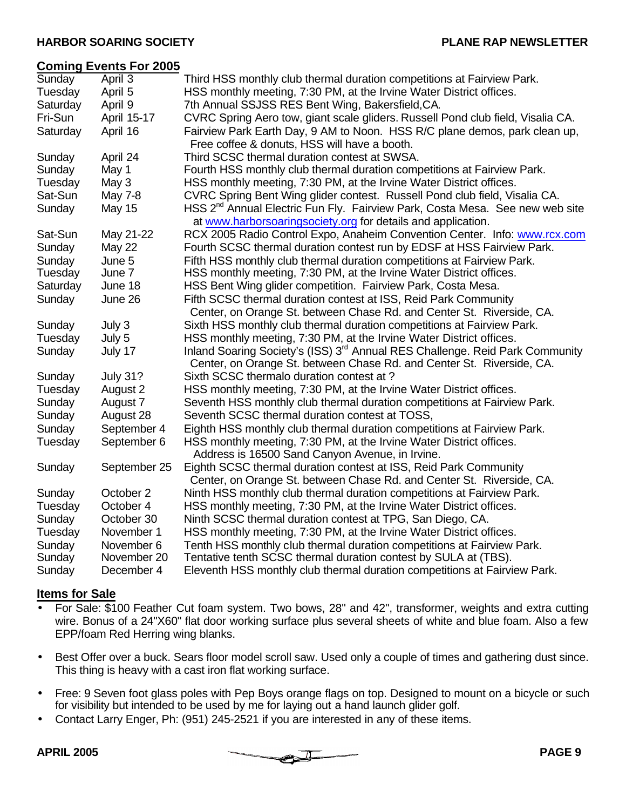### **Coming Events For 2005**

| .             | ---             |                                                                                                                                          |
|---------------|-----------------|------------------------------------------------------------------------------------------------------------------------------------------|
| <b>Sunday</b> | April 3         | Third HSS monthly club thermal duration competitions at Fairview Park.                                                                   |
| Tuesday       | April 5         | HSS monthly meeting, 7:30 PM, at the Irvine Water District offices.                                                                      |
| Saturday      | April 9         | 7th Annual SSJSS RES Bent Wing, Bakersfield, CA.                                                                                         |
| Fri-Sun       | April 15-17     | CVRC Spring Aero tow, giant scale gliders. Russell Pond club field, Visalia CA.                                                          |
| Saturday      | April 16        | Fairview Park Earth Day, 9 AM to Noon. HSS R/C plane demos, park clean up,                                                               |
|               |                 | Free coffee & donuts, HSS will have a booth.                                                                                             |
| Sunday        | April 24        | Third SCSC thermal duration contest at SWSA.                                                                                             |
| Sunday        | May 1           | Fourth HSS monthly club thermal duration competitions at Fairview Park.                                                                  |
| Tuesday       | May 3           | HSS monthly meeting, 7:30 PM, at the Irvine Water District offices.                                                                      |
| Sat-Sun       | May 7-8         | CVRC Spring Bent Wing glider contest. Russell Pond club field, Visalia CA.                                                               |
| Sunday        | <b>May 15</b>   | HSS 2 <sup>nd</sup> Annual Electric Fun Fly. Fairview Park, Costa Mesa. See new web site                                                 |
|               |                 | at www.harborsoaringsociety.org for details and application.                                                                             |
| Sat-Sun       | May 21-22       | RCX 2005 Radio Control Expo, Anaheim Convention Center. Info: www.rcx.com                                                                |
| Sunday        | May 22          | Fourth SCSC thermal duration contest run by EDSF at HSS Fairview Park.                                                                   |
| Sunday        | June 5          | Fifth HSS monthly club thermal duration competitions at Fairview Park.                                                                   |
| Tuesday       | June 7          | HSS monthly meeting, 7:30 PM, at the Irvine Water District offices.                                                                      |
| Saturday      | June 18         | HSS Bent Wing glider competition. Fairview Park, Costa Mesa.                                                                             |
| Sunday        | June 26         | Fifth SCSC thermal duration contest at ISS, Reid Park Community<br>Center, on Orange St. between Chase Rd. and Center St. Riverside, CA. |
| Sunday        | July 3          | Sixth HSS monthly club thermal duration competitions at Fairview Park.                                                                   |
| Tuesday       | July 5          | HSS monthly meeting, 7:30 PM, at the Irvine Water District offices.                                                                      |
| Sunday        | July 17         | Inland Soaring Society's (ISS) 3 <sup>rd</sup> Annual RES Challenge. Reid Park Community                                                 |
|               |                 | Center, on Orange St. between Chase Rd. and Center St. Riverside, CA.                                                                    |
| Sunday        | <b>July 31?</b> | Sixth SCSC thermalo duration contest at?                                                                                                 |
| Tuesday       | August 2        | HSS monthly meeting, 7:30 PM, at the Irvine Water District offices.                                                                      |
| Sunday        | August 7        | Seventh HSS monthly club thermal duration competitions at Fairview Park.                                                                 |
| Sunday        | August 28       | Seventh SCSC thermal duration contest at TOSS,                                                                                           |
| Sunday        | September 4     | Eighth HSS monthly club thermal duration competitions at Fairview Park.                                                                  |
| Tuesday       | September 6     | HSS monthly meeting, 7:30 PM, at the Irvine Water District offices.                                                                      |
|               |                 | Address is 16500 Sand Canyon Avenue, in Irvine.                                                                                          |
| Sunday        | September 25    | Eighth SCSC thermal duration contest at ISS, Reid Park Community                                                                         |
|               |                 | Center, on Orange St. between Chase Rd. and Center St. Riverside, CA.                                                                    |
| Sunday        | October 2       | Ninth HSS monthly club thermal duration competitions at Fairview Park.                                                                   |
| Tuesday       | October 4       | HSS monthly meeting, 7:30 PM, at the Irvine Water District offices.                                                                      |
| Sunday        | October 30      | Ninth SCSC thermal duration contest at TPG, San Diego, CA.                                                                               |
| Tuesday       | November 1      | HSS monthly meeting, 7:30 PM, at the Irvine Water District offices.                                                                      |
| Sunday        | November 6      | Tenth HSS monthly club thermal duration competitions at Fairview Park.                                                                   |
| Sunday        | November 20     | Tentative tenth SCSC thermal duration contest by SULA at (TBS).                                                                          |
| Sunday        | December 4      | Eleventh HSS monthly club thermal duration competitions at Fairview Park.                                                                |

### **Items for Sale**

- For Sale: \$100 Feather Cut foam system. Two bows, 28" and 42", transformer, weights and extra cutting wire. Bonus of a 24"X60" flat door working surface plus several sheets of white and blue foam. Also a few EPP/foam Red Herring wing blanks.
- Best Offer over a buck. Sears floor model scroll saw. Used only a couple of times and gathering dust since. This thing is heavy with a cast iron flat working surface.
- Free: 9 Seven foot glass poles with Pep Boys orange flags on top. Designed to mount on a bicycle or such for visibility but intended to be used by me for laying out a hand launch glider golf.
- Contact Larry Enger, Ph: (951) 245-2521 if you are interested in any of these items.

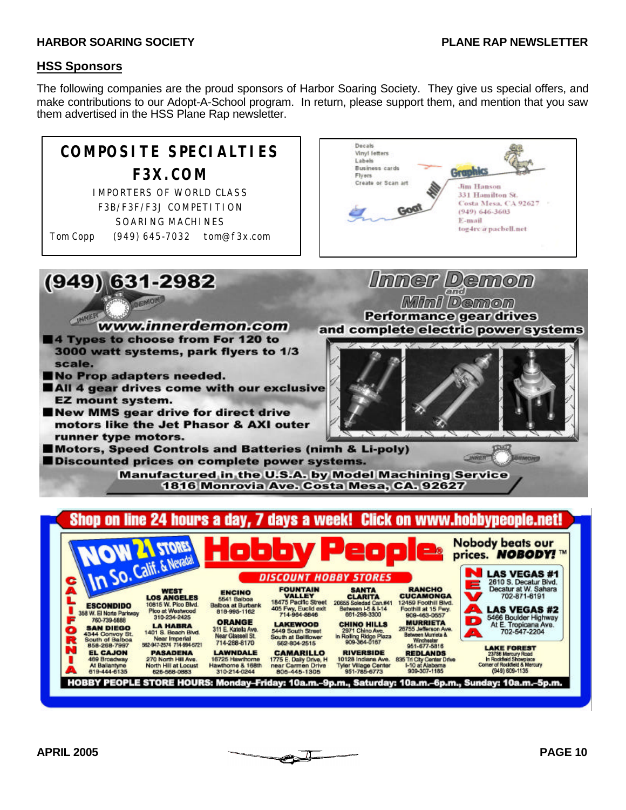### **HSS Sponsors**

The following companies are the proud sponsors of Harbor Soaring Society. They give us special offers, and make contributions to our Adopt-A-School program. In return, please support them, and mention that you saw them advertised in the HSS Plane Rap newsletter.

### Decals **COMPOSITE SPECIALTIES** Vinyl letters Labels **Business cards** Graphics **F3X.COM** Flyers Create or Scan art **Jim Hanson** IMPORTERS OF WORLD CLASS 331 Hamilton St. Costa Mesa, CA 92627 F3B/F3F/F3J COMPETITION Go (949) 646-3603 SOARING MACHINES E-mail tog4rc@pacbell.net Tom Copp (949) 645-7032 tom@f3x.com $(949)$  631-2982 **Immer Demon** and BENON Mini Demon **Performance gear drives** www.innerdemon.com and complete electric power systems 4 Types to choose from For 120 to 3000 watt systems, park flyers to 1/3 scale. No Prop adapters needed. All 4 gear drives come with our exclusive **EZ mount system.** New MMS gear drive for direct drive motors like the Jet Phasor & AXI outer runner type motors. Motors, Speed Controls and Batteries (nimh & Li-poly) UNNER **MARCURED** Discounted prices on complete power systems. **Manufactured in the U.S.A. by Model Machining Service** 1816 Monrovia Ave. Costa Mesa, CA. 92627 Shop on line 24 hours a Click on www.hobbypeople.net! dav davs a week! **Nobody beats our STORE** prices. **NOBODY!** ™

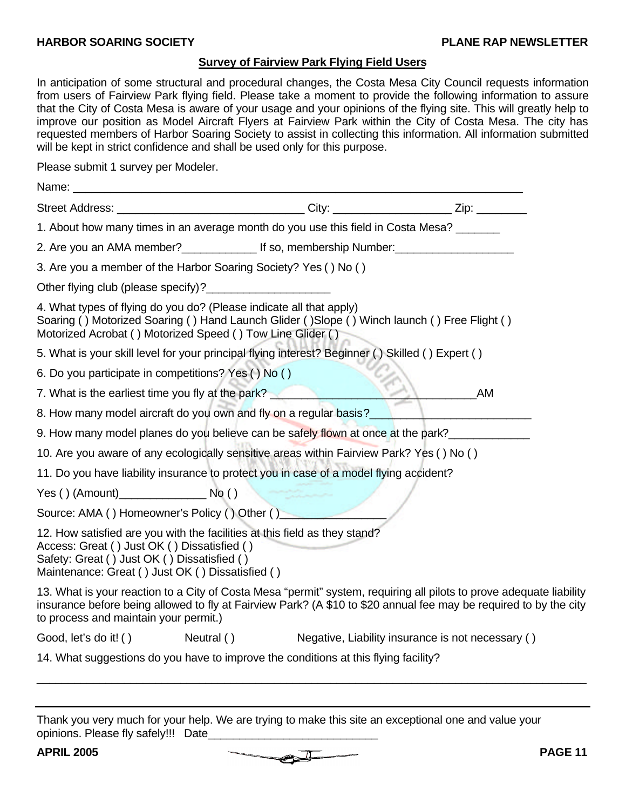### **Survey of Fairview Park Flying Field Users**

In anticipation of some structural and procedural changes, the Costa Mesa City Council requests information from users of Fairview Park flying field. Please take a moment to provide the following information to assure that the City of Costa Mesa is aware of your usage and your opinions of the flying site. This will greatly help to improve our position as Model Aircraft Flyers at Fairview Park within the City of Costa Mesa. The city has requested members of Harbor Soaring Society to assist in collecting this information. All information submitted will be kept in strict confidence and shall be used only for this purpose.

Please submit 1 survey per Modeler.

| Name:                                                                                                                                                                                                                        |                                                                                                  |                                                                                                                                                                                                                                          |
|------------------------------------------------------------------------------------------------------------------------------------------------------------------------------------------------------------------------------|--------------------------------------------------------------------------------------------------|------------------------------------------------------------------------------------------------------------------------------------------------------------------------------------------------------------------------------------------|
|                                                                                                                                                                                                                              |                                                                                                  |                                                                                                                                                                                                                                          |
|                                                                                                                                                                                                                              | 1. About how many times in an average month do you use this field in Costa Mesa?                 |                                                                                                                                                                                                                                          |
|                                                                                                                                                                                                                              |                                                                                                  |                                                                                                                                                                                                                                          |
| 3. Are you a member of the Harbor Soaring Society? Yes () No ()                                                                                                                                                              |                                                                                                  |                                                                                                                                                                                                                                          |
|                                                                                                                                                                                                                              |                                                                                                  |                                                                                                                                                                                                                                          |
| 4. What types of flying do you do? (Please indicate all that apply)<br>Motorized Acrobat () Motorized Speed () Tow Line Glider ()                                                                                            | Soaring () Motorized Soaring () Hand Launch Glider ()Slope () Winch launch () Free Flight ()     |                                                                                                                                                                                                                                          |
|                                                                                                                                                                                                                              | 5. What is your skill level for your principal flying interest? Beginner () Skilled () Expert () |                                                                                                                                                                                                                                          |
| 6. Do you participate in competitions? Yes () No ()                                                                                                                                                                          |                                                                                                  |                                                                                                                                                                                                                                          |
|                                                                                                                                                                                                                              | 7. What is the earliest time you fly at the park?                                                | AM                                                                                                                                                                                                                                       |
|                                                                                                                                                                                                                              |                                                                                                  | 8. How many model aircraft do you own and fly on a regular basis?<br><u>Easter and the set of the set of the set of the set of the set of the set of the set of the set of the set of the set of the set of the set of the set of </u>   |
|                                                                                                                                                                                                                              |                                                                                                  | 9. How many model planes do you believe can be safely flown at once at the park?                                                                                                                                                         |
|                                                                                                                                                                                                                              | 10. Are you aware of any ecologically sensitive areas within Fairview Park? Yes () No ()         |                                                                                                                                                                                                                                          |
|                                                                                                                                                                                                                              | 11. Do you have liability insurance to protect you in case of a model flying accident?           |                                                                                                                                                                                                                                          |
| $Yes() (Amount)$ No ()                                                                                                                                                                                                       |                                                                                                  |                                                                                                                                                                                                                                          |
|                                                                                                                                                                                                                              | Source: AMA () Homeowner's Policy () Other ()                                                    |                                                                                                                                                                                                                                          |
| 12. How satisfied are you with the facilities at this field as they stand?<br>Access: Great () Just OK () Dissatisfied ()<br>Safety: Great () Just OK () Dissatisfied ()<br>Maintenance: Great () Just OK () Dissatisfied () |                                                                                                  |                                                                                                                                                                                                                                          |
| to process and maintain your permit.)                                                                                                                                                                                        |                                                                                                  | 13. What is your reaction to a City of Costa Mesa "permit" system, requiring all pilots to prove adequate liability<br>insurance before being allowed to fly at Fairview Park? (A \$10 to \$20 annual fee may be required to by the city |
|                                                                                                                                                                                                                              |                                                                                                  | Good, let's do it! () Neutral () Negative, Liability insurance is not necessary ()                                                                                                                                                       |
|                                                                                                                                                                                                                              | 14. What suggestions do you have to improve the conditions at this flying facility?              |                                                                                                                                                                                                                                          |

Thank you very much for your help. We are trying to make this site an exceptional one and value your opinions. Please fly safely!!! Date



\_\_\_\_\_\_\_\_\_\_\_\_\_\_\_\_\_\_\_\_\_\_\_\_\_\_\_\_\_\_\_\_\_\_\_\_\_\_\_\_\_\_\_\_\_\_\_\_\_\_\_\_\_\_\_\_\_\_\_\_\_\_\_\_\_\_\_\_\_\_\_\_\_\_\_\_\_\_\_\_\_\_\_\_\_\_\_\_